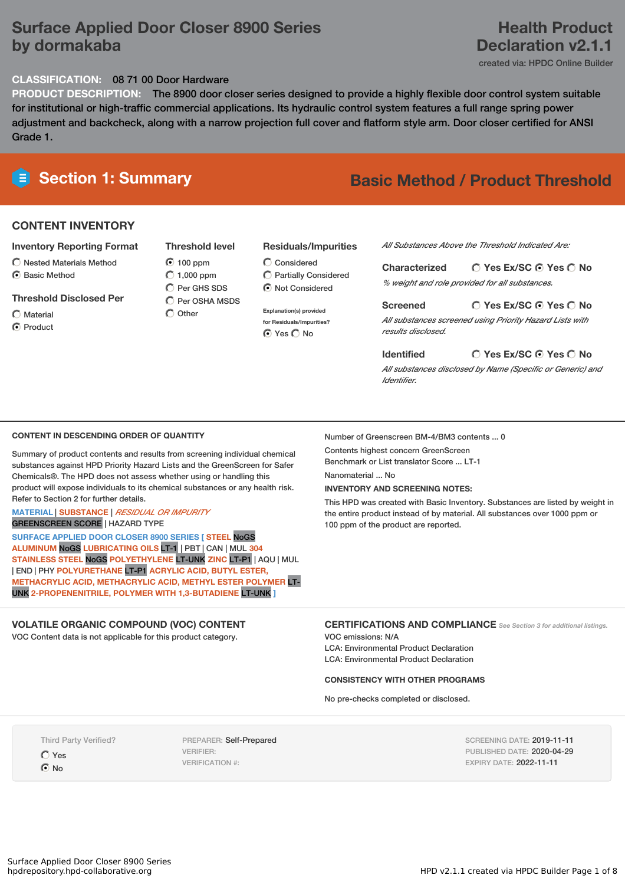# **Surface Applied Door Closer 8900 Series by dormakaba**

## **Health Product Declaration v2.1.1**

created via: HPDC Online Builder

#### **CLASSIFICATION:** 08 71 00 Door Hardware

**PRODUCT DESCRIPTION:** The 8900 door closer series designed to provide a highly flexible door control system suitable for institutional or high-traffic commercial applications. Its hydraulic control system features a full range spring power adjustment and backcheck, along with a narrow projection full cover and flatform style arm. Door closer certified for ANSI Grade 1.

### **CONTENT INVENTORY**

#### **Inventory Reporting Format**

- $\bigcirc$  Nested Materials Method
- C Basic Method

#### **Threshold Disclosed Per**

 $\bigcap$  Material

**O** Product

## **Threshold level** 100 ppm  $O$  1,000 ppm

C Per GHS SDS  $\overline{O}$  Per OSHA MSDS  $\bigcap$  Other

#### **Residuals/Impurities**

- Considered Partially Considered  $\odot$  Not Considered
- **Explanation(s) provided for Residuals/Impurities?**

 $O$  Yes  $O$  No

#### *All Substances Above the Threshold Indicated Are:*

**Yes Ex/SC Yes No Characterized** *% weight and role provided for all substances.*

#### **Yes Ex/SC Yes No Screened**

*All substances screened using Priority Hazard Lists with results disclosed.*

#### **Yes Ex/SC Yes No Identified** *All substances disclosed by Name (Specific or Generic) and Identifier.*

#### **CONTENT IN DESCENDING ORDER OF QUANTITY**

Summary of product contents and results from screening individual chemical substances against HPD Priority Hazard Lists and the GreenScreen for Safer Chemicals®. The HPD does not assess whether using or handling this product will expose individuals to its chemical substances or any health risk. Refer to Section 2 for further details.

#### **MATERIAL** | **SUBSTANCE** | *RESIDUAL OR IMPURITY* GREENSCREEN SCORE | HAZARD TYPE

**SURFACE APPLIED DOOR CLOSER 8900 SERIES [ STEEL** NoGS **ALUMINUM** NoGS **LUBRICATING OILS** LT-1 | PBT | CAN | MUL **304 STAINLESS STEEL** NoGS **POLYETHYLENE** LT-UNK **ZINC** LT-P1 | AQU | MUL | END | PHY **POLYURETHANE** LT-P1 **ACRYLIC ACID, BUTYL ESTER, METHACRYLIC ACID, METHACRYLIC ACID, METHYL ESTER POLYMER** LT-UNK **2-PROPENENITRILE, POLYMER WITH 1,3-BUTADIENE** LT-UNK **]**

#### **VOLATILE ORGANIC COMPOUND (VOC) CONTENT**

VOC Content data is not applicable for this product category.

Number of Greenscreen BM-4/BM3 contents ... 0

Contents highest concern GreenScreen Benchmark or List translator Score ... LT-1

Nanomaterial ... No

#### **INVENTORY AND SCREENING NOTES:**

This HPD was created with Basic Inventory. Substances are listed by weight in the entire product instead of by material. All substances over 1000 ppm or 100 ppm of the product are reported.

#### **CERTIFICATIONS AND COMPLIANCE** *See Section <sup>3</sup> for additional listings.*

VOC emissions: N/A LCA: Environmental Product Declaration LCA: Environmental Product Declaration

#### **CONSISTENCY WITH OTHER PROGRAMS**

No pre-checks completed or disclosed.

Third Party Verified?

Yes

 $\odot$  No

PREPARER: Self-Prepared VERIFIER: VERIFICATION #:

SCREENING DATE: 2019-11-11 PUBLISHED DATE: 2020-04-29 EXPIRY DATE: 2022-11-11

**Section 1: Summary Basic Method / Product Threshold**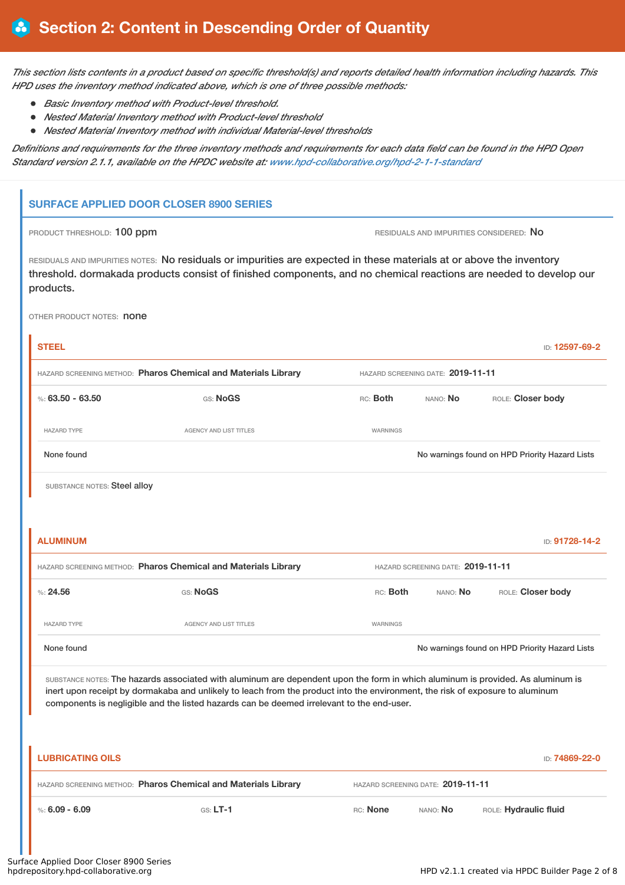This section lists contents in a product based on specific threshold(s) and reports detailed health information including hazards. This *HPD uses the inventory method indicated above, which is one of three possible methods:*

- *Basic Inventory method with Product-level threshold.*
- *Nested Material Inventory method with Product-level threshold*
- *Nested Material Inventory method with individual Material-level thresholds*

Definitions and requirements for the three inventory methods and requirements for each data field can be found in the HPD Open *Standard version 2.1.1, available on the HPDC website at: [www.hpd-collaborative.org/hpd-2-1-1-standard](https://www.hpd-collaborative.org/hpd-2-1-1-standard)*

#### **SURFACE APPLIED DOOR CLOSER 8900 SERIES**

PRODUCT THRESHOLD: 100 ppm **RESIDUALS** AND IMPURITIES CONSIDERED: No

RESIDUALS AND IMPURITIES NOTES: No residuals or impurities are expected in these materials at or above the inventory threshold. dormakada products consist of finished components, and no chemical reactions are needed to develop our products.

OTHER PRODUCT NOTES: **none** 

| <b>STEEL</b>                                                                                                                                                                                                                                                                                                                                                  |                                                                |                                   |                                   | ID: 12597-69-2                                 |  |  |  |
|---------------------------------------------------------------------------------------------------------------------------------------------------------------------------------------------------------------------------------------------------------------------------------------------------------------------------------------------------------------|----------------------------------------------------------------|-----------------------------------|-----------------------------------|------------------------------------------------|--|--|--|
| HAZARD SCREENING METHOD: Pharos Chemical and Materials Library                                                                                                                                                                                                                                                                                                |                                                                |                                   | HAZARD SCREENING DATE: 2019-11-11 |                                                |  |  |  |
| %: $63.50 - 63.50$                                                                                                                                                                                                                                                                                                                                            | GS: NoGS                                                       | RC: Both                          | ROLE: Closer body<br>NANO: No     |                                                |  |  |  |
| <b>HAZARD TYPE</b>                                                                                                                                                                                                                                                                                                                                            | <b>AGENCY AND LIST TITLES</b>                                  | WARNINGS                          |                                   |                                                |  |  |  |
| None found                                                                                                                                                                                                                                                                                                                                                    |                                                                |                                   |                                   | No warnings found on HPD Priority Hazard Lists |  |  |  |
| SUBSTANCE NOTES: Steel alloy                                                                                                                                                                                                                                                                                                                                  |                                                                |                                   |                                   |                                                |  |  |  |
|                                                                                                                                                                                                                                                                                                                                                               |                                                                |                                   |                                   |                                                |  |  |  |
| <b>ALUMINUM</b>                                                                                                                                                                                                                                                                                                                                               |                                                                |                                   |                                   | ID: 91728-14-2                                 |  |  |  |
| HAZARD SCREENING METHOD: Pharos Chemical and Materials Library<br>HAZARD SCREENING DATE: 2019-11-11                                                                                                                                                                                                                                                           |                                                                |                                   |                                   |                                                |  |  |  |
| %24.56                                                                                                                                                                                                                                                                                                                                                        | GS: NoGS                                                       | RC: Both                          | NANO: No                          | ROLE: Closer body                              |  |  |  |
| <b>HAZARD TYPE</b>                                                                                                                                                                                                                                                                                                                                            | <b>AGENCY AND LIST TITLES</b>                                  | WARNINGS                          |                                   |                                                |  |  |  |
| None found                                                                                                                                                                                                                                                                                                                                                    |                                                                |                                   |                                   | No warnings found on HPD Priority Hazard Lists |  |  |  |
| SUBSTANCE NOTES: The hazards associated with aluminum are dependent upon the form in which aluminum is provided. As aluminum is<br>inert upon receipt by dormakaba and unlikely to leach from the product into the environment, the risk of exposure to aluminum<br>components is negligible and the listed hazards can be deemed irrelevant to the end-user. |                                                                |                                   |                                   |                                                |  |  |  |
| <b>LUBRICATING OILS</b>                                                                                                                                                                                                                                                                                                                                       |                                                                |                                   |                                   | ID: 74869-22-0                                 |  |  |  |
|                                                                                                                                                                                                                                                                                                                                                               | HAZARD SCREENING METHOD: Pharos Chemical and Materials Library | HAZARD SCREENING DATE: 2019-11-11 |                                   |                                                |  |  |  |
| %: $6.09 - 6.09$                                                                                                                                                                                                                                                                                                                                              | $GS: LT-1$                                                     | RC: None                          | NANO: No                          | ROLE: Hydraulic fluid                          |  |  |  |
|                                                                                                                                                                                                                                                                                                                                                               |                                                                |                                   |                                   |                                                |  |  |  |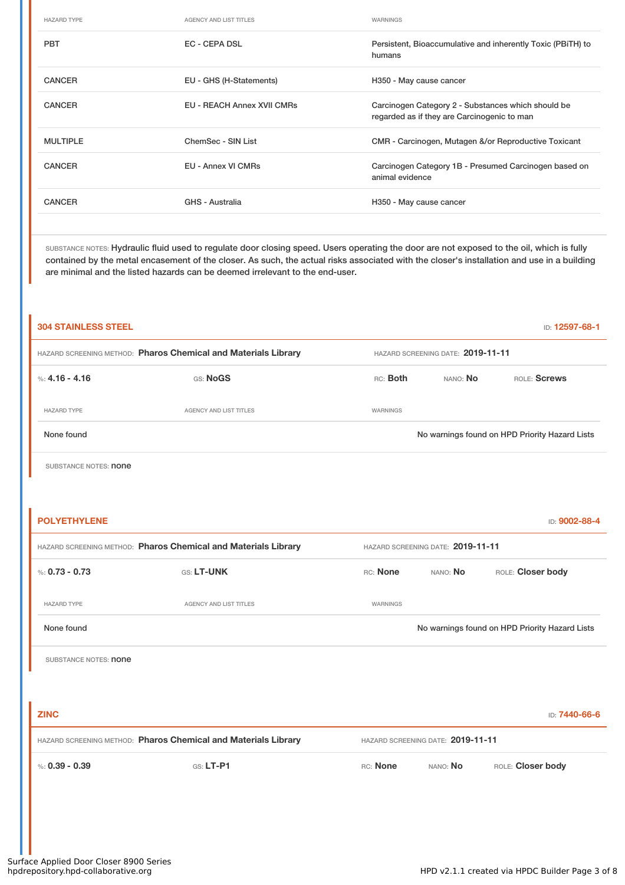| <b>HAZARD TYPE</b> | <b>AGENCY AND LIST TITLES</b>     | WARNINGS                                                                                          |
|--------------------|-----------------------------------|---------------------------------------------------------------------------------------------------|
| <b>PBT</b>         | <b>EC - CEPA DSL</b>              | Persistent, Bioaccumulative and inherently Toxic (PBiTH) to<br>humans                             |
| <b>CANCER</b>      | EU - GHS (H-Statements)           | H350 - May cause cancer                                                                           |
| <b>CANCER</b>      | <b>EU - REACH Annex XVII CMRs</b> | Carcinogen Category 2 - Substances which should be<br>regarded as if they are Carcinogenic to man |
| <b>MULTIPLE</b>    | ChemSec - SIN List                | CMR - Carcinogen, Mutagen &/or Reproductive Toxicant                                              |
| <b>CANCER</b>      | <b>EU - Annex VI CMRs</b>         | Carcinogen Category 1B - Presumed Carcinogen based on<br>animal evidence                          |
| <b>CANCER</b>      | GHS - Australia                   | H350 - May cause cancer                                                                           |
|                    |                                   |                                                                                                   |

SUBSTANCE NOTES: Hydraulic fluid used to regulate door closing speed. Users operating the door are not exposed to the oil, which is fully contained by the metal encasement of the closer. As such, the actual risks associated with the closer's installation and use in a building are minimal and the listed hazards can be deemed irrelevant to the end-user.

| <b>304 STAINLESS STEEL</b>                                                                          |                        |                 |          | ID: 12597-68-1                                 |
|-----------------------------------------------------------------------------------------------------|------------------------|-----------------|----------|------------------------------------------------|
| HAZARD SCREENING METHOD: Pharos Chemical and Materials Library<br>HAZARD SCREENING DATE: 2019-11-11 |                        |                 |          |                                                |
| %: 4.16 - 4.16                                                                                      | GS: NoGS               | RC: Both        | NANO: No | ROLE: Screws                                   |
| <b>HAZARD TYPE</b>                                                                                  | AGENCY AND LIST TITLES | <b>WARNINGS</b> |          |                                                |
| None found                                                                                          |                        |                 |          | No warnings found on HPD Priority Hazard Lists |

SUBSTANCE NOTES: **none** 

í.

| <b>POLYETHYLENE</b>          |                                                                |                                   |                                   | ID: 9002-88-4                                  |
|------------------------------|----------------------------------------------------------------|-----------------------------------|-----------------------------------|------------------------------------------------|
|                              | HAZARD SCREENING METHOD: Pharos Chemical and Materials Library | HAZARD SCREENING DATE: 2019-11-11 |                                   |                                                |
| %: $0.73 - 0.73$             | GS: LT-UNK                                                     | RC: None                          | NANO: No                          | ROLE: Closer body                              |
| <b>HAZARD TYPE</b>           | <b>AGENCY AND LIST TITLES</b>                                  | WARNINGS                          |                                   |                                                |
| None found                   |                                                                |                                   |                                   | No warnings found on HPD Priority Hazard Lists |
| SUBSTANCE NOTES: <b>none</b> |                                                                |                                   |                                   |                                                |
|                              |                                                                |                                   |                                   |                                                |
| <b>ZINC</b>                  |                                                                |                                   |                                   | ID: 7440-66-6                                  |
|                              | HAZARD SCREENING METHOD: Pharos Chemical and Materials Library |                                   | HAZARD SCREENING DATE: 2019-11-11 |                                                |
| %: $0.39 - 0.39$             | $GS: LT-PI$                                                    | RC: None                          | NANO: No                          | ROLE: Closer body                              |
|                              |                                                                |                                   |                                   |                                                |
|                              |                                                                |                                   |                                   |                                                |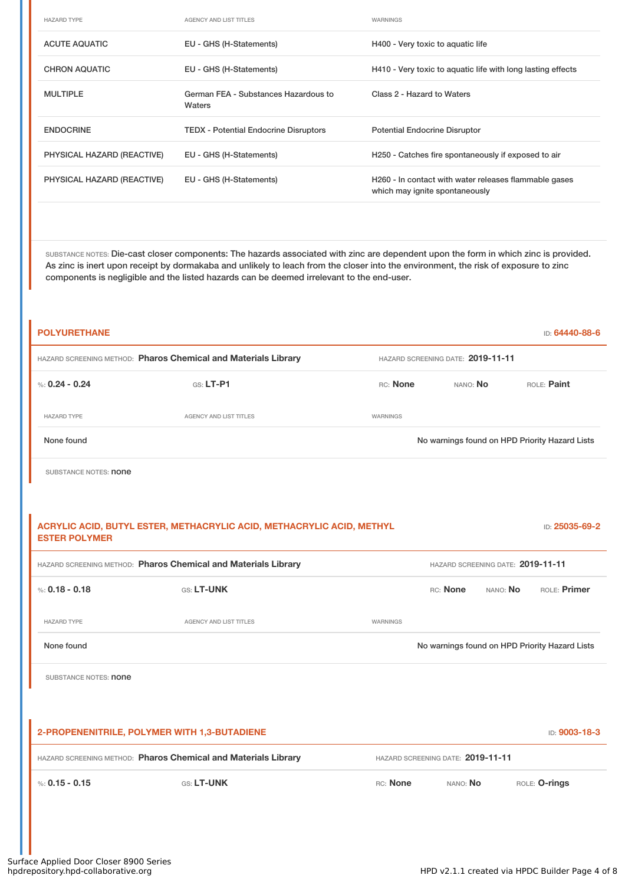| <b>HAZARD TYPE</b>         | AGENCY AND LIST TITLES                         | WARNINGS                                                                                |
|----------------------------|------------------------------------------------|-----------------------------------------------------------------------------------------|
| <b>ACUTE AQUATIC</b>       | EU - GHS (H-Statements)                        | H400 - Very toxic to aquatic life                                                       |
| <b>CHRON AQUATIC</b>       | EU - GHS (H-Statements)                        | H410 - Very toxic to aquatic life with long lasting effects                             |
| <b>MULTIPLE</b>            | German FEA - Substances Hazardous to<br>Waters | Class 2 - Hazard to Waters                                                              |
| <b>ENDOCRINE</b>           | <b>TEDX</b> - Potential Endocrine Disruptors   | <b>Potential Endocrine Disruptor</b>                                                    |
| PHYSICAL HAZARD (REACTIVE) | EU - GHS (H-Statements)                        | H250 - Catches fire spontaneously if exposed to air                                     |
| PHYSICAL HAZARD (REACTIVE) | EU - GHS (H-Statements)                        | H260 - In contact with water releases flammable gases<br>which may ignite spontaneously |

SUBSTANCE NOTES: Die-cast closer components: The hazards associated with zinc are dependent upon the form in which zinc is provided. As zinc is inert upon receipt by dormakaba and unlikely to leach from the closer into the environment, the risk of exposure to zinc components is negligible and the listed hazards can be deemed irrelevant to the end-user.

| <b>POLYURETHANE</b>                                                                                 |                                                                       |          |                                   | ID: 64440-88-6                                 |  |
|-----------------------------------------------------------------------------------------------------|-----------------------------------------------------------------------|----------|-----------------------------------|------------------------------------------------|--|
|                                                                                                     | HAZARD SCREENING METHOD: Pharos Chemical and Materials Library        |          | HAZARD SCREENING DATE: 2019-11-11 |                                                |  |
| %: $0.24 - 0.24$                                                                                    | $G.S.$ LT-P1                                                          | RC: None | ROLE: Paint<br>NANO: No           |                                                |  |
| <b>HAZARD TYPE</b>                                                                                  | <b>AGENCY AND LIST TITLES</b>                                         | WARNINGS |                                   |                                                |  |
| None found                                                                                          |                                                                       |          |                                   | No warnings found on HPD Priority Hazard Lists |  |
| SUBSTANCE NOTES: <b>none</b>                                                                        |                                                                       |          |                                   |                                                |  |
|                                                                                                     |                                                                       |          |                                   |                                                |  |
| <b>ESTER POLYMER</b>                                                                                | ACRYLIC ACID, BUTYL ESTER, METHACRYLIC ACID, METHACRYLIC ACID, METHYL |          |                                   | ID: 25035-69-2                                 |  |
| HAZARD SCREENING METHOD: Pharos Chemical and Materials Library<br>HAZARD SCREENING DATE: 2019-11-11 |                                                                       |          |                                   |                                                |  |
| %: $0.18 - 0.18$                                                                                    | GS: LT-UNK                                                            |          | RC: None<br>NANO: No              | ROLE: Primer                                   |  |
| <b>HAZARD TYPE</b>                                                                                  | AGENCY AND LIST TITLES                                                | WARNINGS |                                   |                                                |  |
| None found                                                                                          |                                                                       |          |                                   | No warnings found on HPD Priority Hazard Lists |  |
| SUBSTANCE NOTES: <b>none</b>                                                                        |                                                                       |          |                                   |                                                |  |
|                                                                                                     |                                                                       |          |                                   |                                                |  |
|                                                                                                     | 2-PROPENENITRILE, POLYMER WITH 1,3-BUTADIENE                          |          |                                   | ID: 9003-18-3                                  |  |
|                                                                                                     | HAZARD SCREENING METHOD: Pharos Chemical and Materials Library        |          | HAZARD SCREENING DATE: 2019-11-11 |                                                |  |
| %: $0.15 - 0.15$                                                                                    | GS: LT-UNK                                                            | RC: None | NANO: No                          | ROLE: O-rings                                  |  |
|                                                                                                     |                                                                       |          |                                   |                                                |  |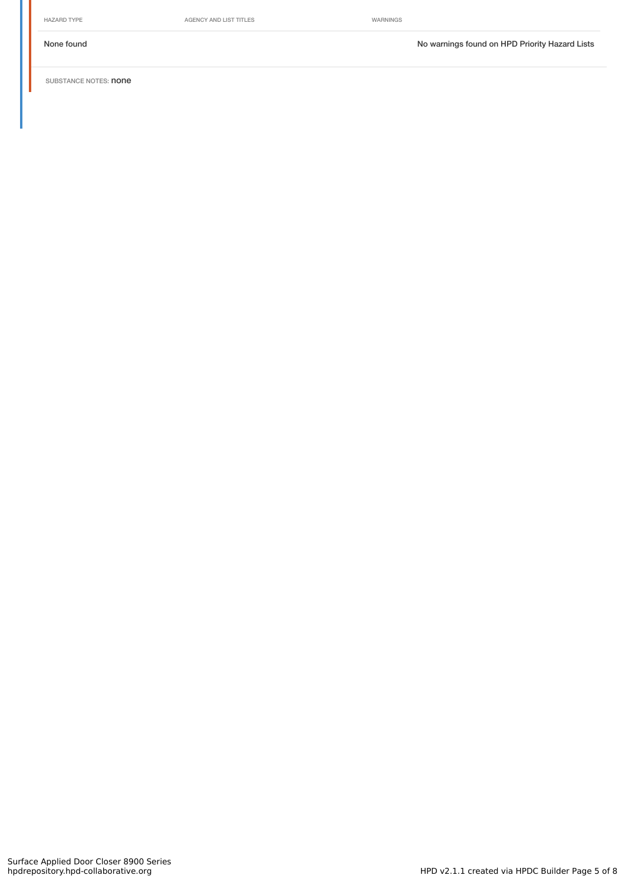HAZARD TYPE **AGENCY AND LIST TITLES** WARNINGS

None found Nowarnings found on HPD Priority Hazard Lists

SUBSTANCE NOTES: **none**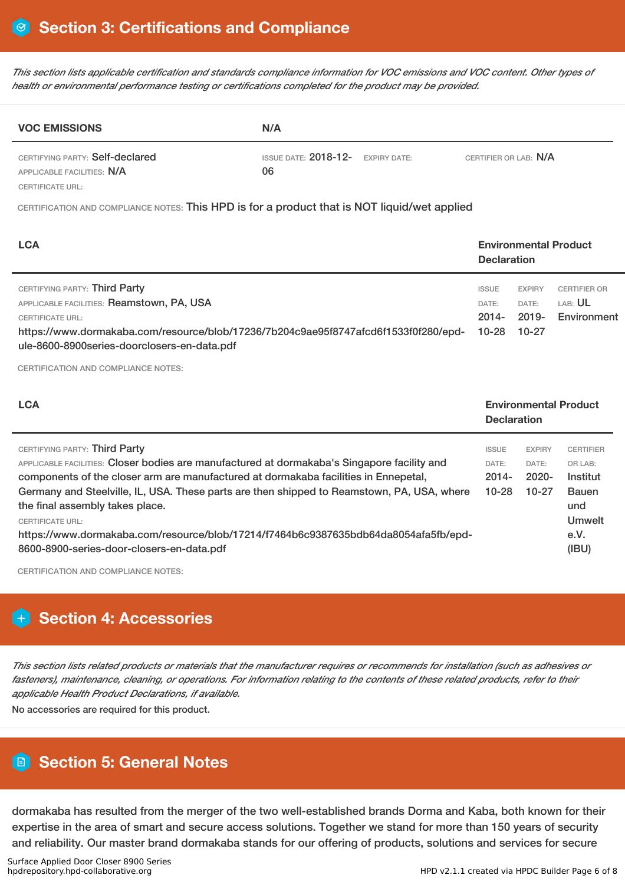This section lists applicable certification and standards compliance information for VOC emissions and VOC content. Other types of *health or environmental performance testing or certifications completed for the product may be provided.*

| <b>VOC EMISSIONS</b>                                          | N/A                                                                 |  |  |  |
|---------------------------------------------------------------|---------------------------------------------------------------------|--|--|--|
| CERTIFYING PARTY: Self-declared<br>APPLICABLE FACILITIES: N/A | ISSUE DATE: $2018-12$ - EXPIRY DATE:<br>CERTIFIER OR LAB: N/A<br>06 |  |  |  |
| CERTIFICATE URL:                                              |                                                                     |  |  |  |

CERTIFICATION AND COMPLIANCE NOTES: This HPD is for a product that is NOT liquid/wet applied

| <b>LCA</b>                                                                                                                                                                                                                           |                                         | <b>Environmental Product</b><br><b>Declaration</b> |                                                      |  |
|--------------------------------------------------------------------------------------------------------------------------------------------------------------------------------------------------------------------------------------|-----------------------------------------|----------------------------------------------------|------------------------------------------------------|--|
| CERTIFYING PARTY: Third Party<br>APPLICABLE FACILITIES: Reamstown, PA, USA<br>CERTIFICATE URL:<br>https://www.dormakaba.com/resource/blob/17236/7b204c9ae95f8747afcd6f1533f0f280/epd-<br>ule-8600-8900series-doorclosers-en-data.pdf | <b>ISSUE</b><br>DATE:<br>2014-<br>10-28 | <b>EXPIRY</b><br>DATE:<br>2019-<br>10-27           | <b>CERTIFIER OR</b><br>LAB: <b>UL</b><br>Environment |  |

CERTIFICATION AND COMPLIANCE NOTES:

| <b>LCA</b>                                                                                                                                                                                                                                                                                                                                                                                                                                                                                                          |                                              | <b>Environmental Product</b><br><b>Declaration</b> |                                                                                                  |  |
|---------------------------------------------------------------------------------------------------------------------------------------------------------------------------------------------------------------------------------------------------------------------------------------------------------------------------------------------------------------------------------------------------------------------------------------------------------------------------------------------------------------------|----------------------------------------------|----------------------------------------------------|--------------------------------------------------------------------------------------------------|--|
| CERTIFYING PARTY: Third Party<br>APPLICABLE FACILITIES: Closer bodies are manufactured at dormakaba's Singapore facility and<br>components of the closer arm are manufactured at dormakaba facilities in Ennepetal,<br>Germany and Steelville, IL, USA. These parts are then shipped to Reamstown, PA, USA, where<br>the final assembly takes place.<br><b>CERTIFICATE URL:</b><br>https://www.dormakaba.com/resource/blob/17214/f7464b6c9387635bdb64da8054afa5fb/epd-<br>8600-8900-series-door-closers-en-data.pdf | <b>ISSUE</b><br>DATE:<br>$2014 -$<br>$10-28$ | <b>EXPIRY</b><br>DATE:<br>$2020 -$<br>$10 - 27$    | <b>CERTIFIER</b><br>OR LAB:<br>Institut<br><b>Bauen</b><br>und<br><b>Umwelt</b><br>e.V.<br>(IBU) |  |

CERTIFICATION AND COMPLIANCE NOTES:

# **Section 4: Accessories**

This section lists related products or materials that the manufacturer requires or recommends for installation (such as adhesives or fasteners), maintenance, cleaning, or operations. For information relating to the contents of these related products, refer to their *applicable Health Product Declarations, if available.*

No accessories are required for this product.

# **Section 5: General Notes**

dormakaba has resulted from the merger of the two well-established brands Dorma and Kaba, both known for their expertise in the area of smart and secure access solutions. Together we stand for more than 150 years of security and reliability. Our master brand dormakaba stands for our offering of products, solutions and services for secure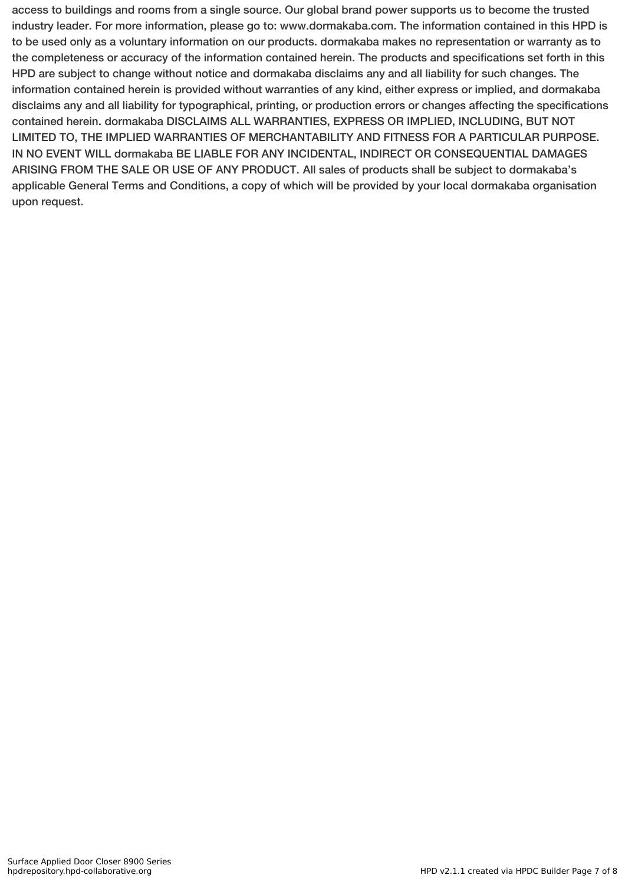access to buildings and rooms from a single source. Our global brand power supports us to become the trusted industry leader. For more information, please go to: www.dormakaba.com. The information contained in this HPD is to be used only as a voluntary information on our products. dormakaba makes no representation or warranty as to the completeness or accuracy of the information contained herein. The products and specifications set forth in this HPD are subject to change without notice and dormakaba disclaims any and all liability for such changes. The information contained herein is provided without warranties of any kind, either express or implied, and dormakaba disclaims any and all liability for typographical, printing, or production errors or changes affecting the specifications contained herein. dormakaba DISCLAIMS ALL WARRANTIES, EXPRESS OR IMPLIED, INCLUDING, BUT NOT LIMITED TO, THE IMPLIED WARRANTIES OF MERCHANTABILITY AND FITNESS FOR A PARTICULAR PURPOSE. IN NO EVENT WILL dormakaba BE LIABLE FOR ANY INCIDENTAL, INDIRECT OR CONSEQUENTIAL DAMAGES ARISING FROM THE SALE OR USE OF ANY PRODUCT. All sales of products shall be subject to dormakaba's applicable General Terms and Conditions, a copy of which will be provided by your local dormakaba organisation upon request.